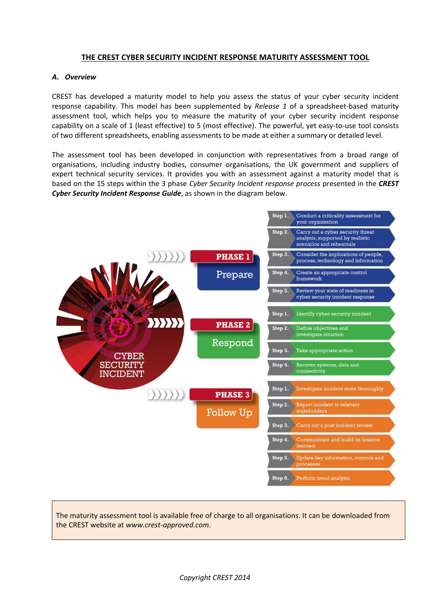# **THE CREST CYBER SECURITY INCIDENT RESPONSE MATURITY ASSESSMENT TOOL**

## *A. Overview*

CREST has developed a maturity model to help you assess the status of your cyber security incident response capability. This model has been supplemented by *Release 1* of a spreadsheet-based maturity assessment tool, which helps you to measure the maturity of your cyber security incident response capability on a scale of 1 (least effective) to 5 (most effective). The powerful, yet easy-to-use tool consists of two different spreadsheets, enabling assessments to be made at either a summary or detailed level.

The assessment tool has been developed in conjunction with representatives from a broad range of organisations, including industry bodies, consumer organisations, the UK government and suppliers of expert technical security services. It provides you with an assessment against a maturity model that is based on the 15 steps within the 3 phase *Cyber Security Incident response process* presented in the *CREST Cyber Security Incident Response Guide*, as shown in the diagram below.



The maturity assessment tool is available free of charge to all organisations. It can be downloaded from the CREST website at *www.crest-approved.com*.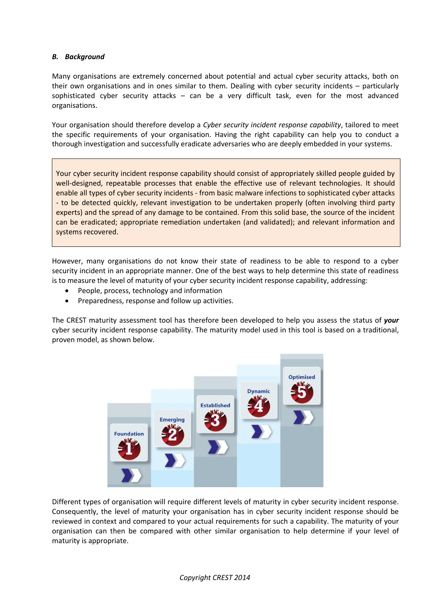## *B. Background*

Many organisations are extremely concerned about potential and actual cyber security attacks, both on their own organisations and in ones similar to them. Dealing with cyber security incidents – particularly sophisticated cyber security attacks – can be a very difficult task, even for the most advanced organisations.

Your organisation should therefore develop a *Cyber security incident response capability*, tailored to meet the specific requirements of your organisation. Having the right capability can help you to conduct a thorough investigation and successfully eradicate adversaries who are deeply embedded in your systems.

Your cyber security incident response capability should consist of appropriately skilled people guided by well-designed, repeatable processes that enable the effective use of relevant technologies. It should enable all types of cyber security incidents - from basic malware infections to sophisticated cyber attacks - to be detected quickly, relevant investigation to be undertaken properly (often involving third party experts) and the spread of any damage to be contained. From this solid base, the source of the incident can be eradicated; appropriate remediation undertaken (and validated); and relevant information and systems recovered.

However, many organisations do not know their state of readiness to be able to respond to a cyber security incident in an appropriate manner. One of the best ways to help determine this state of readiness is to measure the level of maturity of your cyber security incident response capability, addressing:

- People, process, technology and information
- Preparedness, response and follow up activities.

The CREST maturity assessment tool has therefore been developed to help you assess the status of *your* cyber security incident response capability. The maturity model used in this tool is based on a traditional, proven model, as shown below.



Different types of organisation will require different levels of maturity in cyber security incident response. Consequently, the level of maturity your organisation has in cyber security incident response should be reviewed in context and compared to your actual requirements for such a capability. The maturity of your organisation can then be compared with other similar organisation to help determine if your level of maturity is appropriate.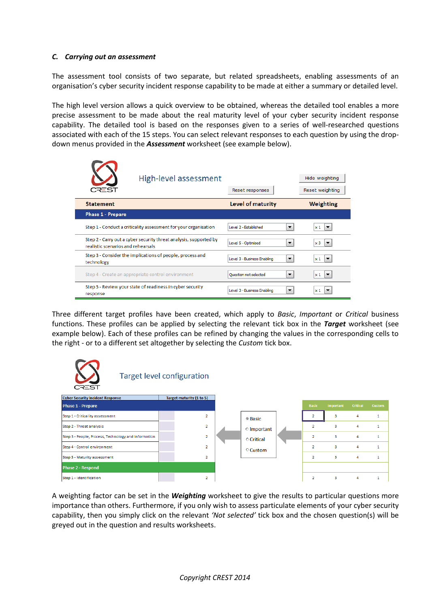#### *C. Carrying out an assessment*

The assessment tool consists of two separate, but related spreadsheets, enabling assessments of an organisation's cyber security incident response capability to be made at either a summary or detailed level.

The high level version allows a quick overview to be obtained, whereas the detailed tool enables a more precise assessment to be made about the real maturity level of your cyber security incident response capability. The detailed tool is based on the responses given to a series of well-researched questions associated with each of the 15 steps. You can select relevant responses to each question by using the dropdown menus provided in the *Assessment* worksheet (see example below).

| CREST                                                                                                   | High-level assessment | Reset responses             | Hide weighting<br>Reset weighting                                      |
|---------------------------------------------------------------------------------------------------------|-----------------------|-----------------------------|------------------------------------------------------------------------|
| <b>Statement</b>                                                                                        |                       | Level of maturity           | Weighting                                                              |
| <b>Phase 1 - Prepare</b>                                                                                |                       |                             |                                                                        |
| Step 1 - Conduct a criticality assessment for your organisation                                         |                       | Level 2 - Established       | $\overline{\phantom{a}}$<br>$\times 1$                                 |
| Step 2 - Carry out a cyber security threat analysis, supported by<br>realistic scenarios and rehearsals |                       | Level 5 - Optimised         | x <sub>3</sub><br>$\overline{\phantom{a}}$<br>$\overline{\phantom{a}}$ |
| Step 3 - Consider the implications of people, process and<br>technology                                 |                       | Level 3 - Business Enabling | $x_1$<br>$\overline{\phantom{a}}$                                      |
| Step 4 - Create an appropriate control environment                                                      |                       | Ouestion not selected       | $\overline{\phantom{a}}$<br>$x_1$<br>▼                                 |
| Step 5 - Review your state of readiness in cyber security<br>response                                   |                       | Level 3 - Business Enabling | ▼<br>$x_1$                                                             |

Three different target profiles have been created, which apply to *Basic*, *Important* or *Critical* business functions. These profiles can be applied by selecting the relevant tick box in the *Target* worksheet (see example below). Each of these profiles can be refined by changing the values in the corresponding cells to the right - or to a different set altogether by selecting the *Custom* tick box.



A weighting factor can be set in the *Weighting* worksheet to give the results to particular questions more importance than others. Furthermore, if you only wish to assess particulate elements of your cyber security capability, then you simply click on the relevant *'Not selected'* tick box and the chosen question(s) will be greyed out in the question and results worksheets.